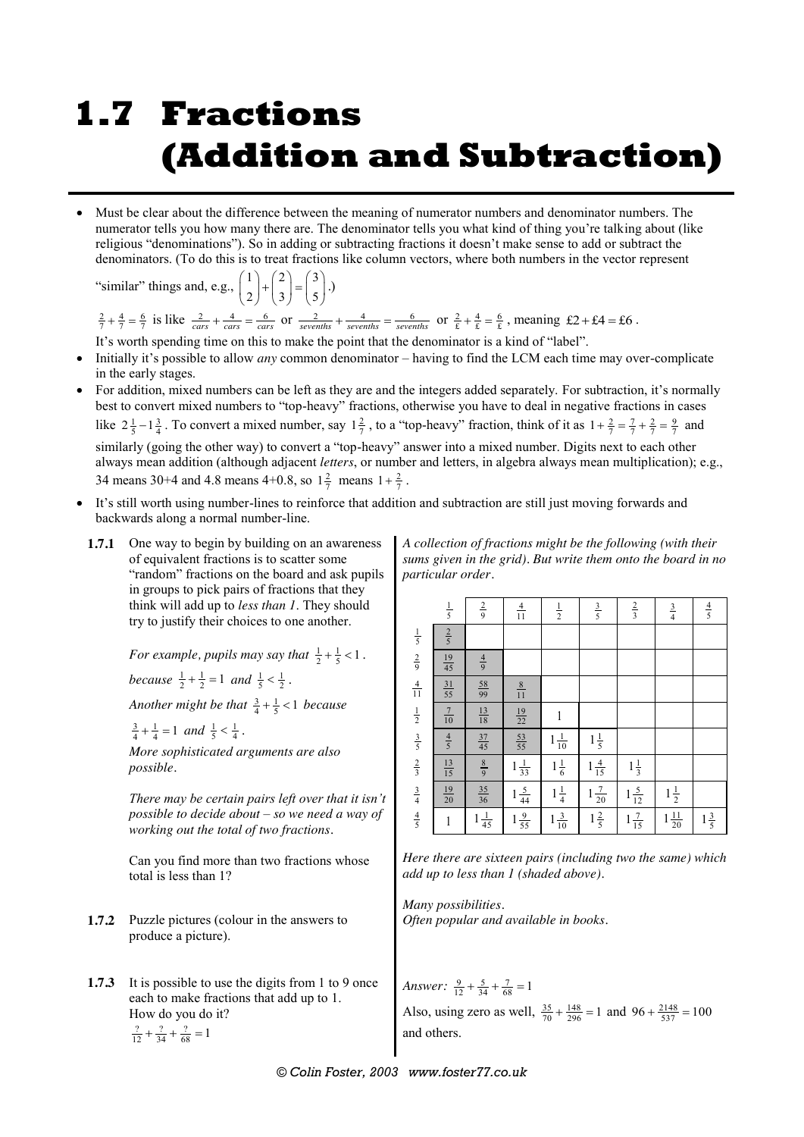# **1.7 Fractions (Addition and Subtraction)**

 Must be clear about the difference between the meaning of numerator numbers and denominator numbers. The numerator tells you how many there are. The denominator tells you what kind of thing you're talking about (like religious "denominations"). So in adding or subtracting fractions it doesn't make sense to add or subtract the denominators. (To do this is to treat fractions like column vectors, where both numbers in the vector represent

"similar" things and, e.g.,  $\begin{pmatrix} 1 \\ 2 \end{pmatrix} + \begin{pmatrix} 2 \\ 3 \end{pmatrix} = \begin{pmatrix} 3 \\ 2 \end{pmatrix}$ 2) (3) (5  $\begin{pmatrix} 1 \\ 2 \end{pmatrix} + \begin{pmatrix} 2 \\ 3 \end{pmatrix} = \begin{pmatrix} 3 \\ 5 \end{pmatrix}$ *.*)

 $\frac{2}{7} + \frac{4}{7} = \frac{6}{7}$  is like  $\frac{2}{cars} + \frac{4}{cars} = \frac{6}{cars}$  or  $\frac{2}{sevenths} + \frac{4}{sevenths} = \frac{6}{sevenths}$  or  $\frac{2}{\text{g}} + \frac{4}{\text{g}} = \frac{6}{\text{g}}$ , meaning  $\text{\textsterling}2 + \text{\textsterling}4 = \text{\textsterling}6$ . It's worth spending time on this to make the point that the denominator is a kind of "label".

- Initially it's possible to allow *any* common denominator having to find the LCM each time may over-complicate in the early stages.
- For addition, mixed numbers can be left as they are and the integers added separately. For subtraction, it's normally best to convert mixed numbers to "top-heavy" fractions, otherwise you have to deal in negative fractions in cases like  $2\frac{1}{5} - 1\frac{3}{4}$ . To convert a mixed number, say  $1\frac{2}{7}$ , to a "top-heavy" fraction, think of it as  $1 + \frac{2}{7} = \frac{7}{7} + \frac{2}{7} = \frac{9}{7}$  and similarly (going the other way) to convert a "top-heavy" answer into a mixed number. Digits next to each other always mean addition (although adjacent *letters*, or number and letters, in algebra always mean multiplication); e.g., 34 means 30+4 and 4.8 means 4+0.8, so  $1\frac{2}{7}$  means  $1+\frac{2}{7}$ .
- It's still worth using number-lines to reinforce that addition and subtraction are still just moving forwards and backwards along a normal number-line.
	- **1.7.1** One way to begin by building on an awareness of equivalent fractions is to scatter some "random" fractions on the board and ask pupils in groups to pick pairs of fractions that they think will add up to *less than 1*. They should try to justify their choices to one another.

*For example, pupils may say that*  $\frac{1}{2} + \frac{1}{5} < 1$ .

*because*  $\frac{1}{2} + \frac{1}{2} = 1$  *and*  $\frac{1}{5} < \frac{1}{2}$ .

*Another might be that*  $\frac{3}{4} + \frac{1}{5} < 1$  *because* 

 $\frac{3}{4} + \frac{1}{4} = 1$  and  $\frac{1}{5} < \frac{1}{4}$ .

*More sophisticated arguments are also possible.*

*There may be certain pairs left over that it isn't possible to decide about – so we need a way of working out the total of two fractions.*

Can you find more than two fractions whose total is less than 1?

- **1.7.2** Puzzle pictures (colour in the answers to produce a picture).
- **1.7.3** It is possible to use the digits from 1 to 9 once each to make fractions that add up to 1. How do you do it?

$$
\frac{?}{12} + \frac{?}{34} + \frac{?}{68} = 1
$$

*A collection of fractions might be the following (with their sums given in the grid). But write them onto the board in no particular order.*

|                                                                       | $\frac{1}{5}$   | $rac{2}{9}$     | $\frac{4}{11}$  | $\frac{1}{2}$       | $rac{3}{5}$     | $rac{2}{3}$                  | $rac{3}{4}$      | $\frac{4}{5}$  |
|-----------------------------------------------------------------------|-----------------|-----------------|-----------------|---------------------|-----------------|------------------------------|------------------|----------------|
|                                                                       | $rac{2}{5}$     |                 |                 |                     |                 |                              |                  |                |
|                                                                       | $\frac{19}{45}$ | $rac{4}{9}$     |                 |                     |                 |                              |                  |                |
| $rac{1}{5}$<br>$rac{2}{9}$<br>$rac{4}{11}$                            | $\frac{31}{55}$ | $rac{58}{99}$   | $\frac{8}{11}$  |                     |                 |                              |                  |                |
|                                                                       | $\frac{7}{10}$  | $\frac{13}{18}$ | $\frac{19}{22}$ | 1                   |                 |                              |                  |                |
|                                                                       | $\frac{4}{5}$   | $\frac{37}{45}$ | $\frac{53}{55}$ | $\frac{1}{10}$<br>1 | $1\frac{1}{5}$  |                              |                  |                |
|                                                                       | $\frac{13}{15}$ | $\frac{8}{9}$   | $1\frac{1}{33}$ | $1\frac{1}{6}$      | $1\frac{4}{15}$ | $1\frac{1}{3}$               |                  |                |
| $\frac{1}{2}$ $\frac{3}{5}$ $\frac{2}{3}$ $\frac{3}{4}$ $\frac{4}{5}$ | $\frac{19}{20}$ | $\frac{35}{36}$ | $1\frac{5}{44}$ | $1\frac{1}{4}$      | $1\frac{7}{20}$ | $rac{5}{12}$<br>$\mathbf{1}$ | $1\frac{1}{2}$   |                |
|                                                                       | $\,1$           | $\frac{1}{45}$  | $1\frac{9}{55}$ | $\frac{3}{10}$      | $1\frac{2}{5}$  | $\frac{7}{15}$<br>1          | $1\frac{11}{20}$ | $1\frac{3}{5}$ |

*Here there are sixteen pairs (including two the same) which add up to less than 1 (shaded above).*

*Many possibilities. Often popular and available in books.*

*Answer*:  $\frac{9}{12} + \frac{5}{34} + \frac{7}{68} = 1$ Also, using zero as well,  $\frac{35}{70} + \frac{148}{296} = 1$  and  $96 + \frac{2148}{537} = 100$ and others.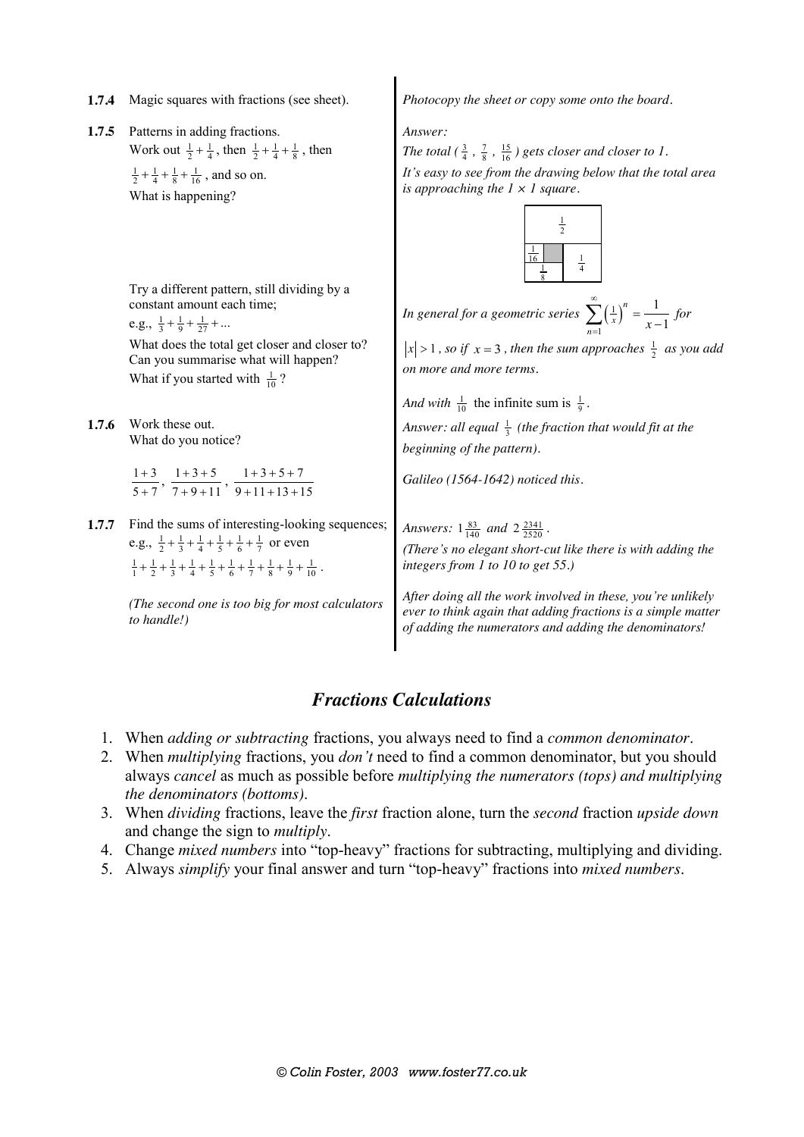- 
- 1.7.5 Patterns in adding fractions. Work out  $\frac{1}{2} + \frac{1}{4}$ , then  $\frac{1}{2} + \frac{1}{4} + \frac{1}{8}$ , then  $\frac{1}{2} + \frac{1}{4} + \frac{1}{8} + \frac{1}{16}$ , and so on. What is happening?

Try a different pattern, still dividing by a constant amount each time; e.g.,  $\frac{1}{3} + \frac{1}{9} + \frac{1}{27} + \dots$ 

What does the total get closer and closer to? Can you summarise what will happen? What if you started with  $\frac{1}{10}$ ?

**1.7.6** Work these out. What do you notice?

> $1 + 3$  $5 + 7$  $\frac{+3}{+7}, \frac{1+3+5}{7+9+11}$  $\frac{+3+5}{+9+11}$ ,  $\frac{1+3+5+7}{9+11+13+15}$  $+3+5+$  $+11+13+$

**1.7.7** Find the sums of interesting-looking sequences; e.g.,  $\frac{1}{2} + \frac{1}{3} + \frac{1}{4} + \frac{1}{5} + \frac{1}{6} + \frac{1}{7}$  or even  $\frac{1}{1} + \frac{1}{2} + \frac{1}{3} + \frac{1}{4} + \frac{1}{5} + \frac{1}{6} + \frac{1}{7} + \frac{1}{8} + \frac{1}{9} + \frac{1}{10}$ .

> *(The second one is too big for most calculators to handle!)*

**1.7.4** Magic squares with fractions (see sheet). *Photocopy the sheet or copy some onto the board.*

*Answer:*

The total  $(\frac{3}{4}, \frac{7}{8}, \frac{15}{16})$  gets closer and closer to 1. *It's easy to see from the drawing below that the total area is approaching the 1 × 1 square.*



*In general for a geometric series*  $\sum_{x}(\frac{1}{x})$ 1 1 1 *n*  $\sum_{n=1}$   $\langle x \rangle$  x  $\infty$  $\sum_{n=1}^{\infty} (\frac{1}{x})^n = \frac{1}{x-1}$  for

 $|x| > 1$ , so if  $x = 3$ , then the sum approaches  $\frac{1}{2}$  as you add *on more and more terms.*

*And with*  $\frac{1}{10}$  the infinite sum is  $\frac{1}{9}$ .

Answer: all equal  $\frac{1}{3}$  (the fraction that would fit at the *beginning of the pattern).*

*Galileo (1564-1642) noticed this.*

*Answers*:  $1\frac{83}{140}$  *and*  $2\frac{2341}{2520}$ .

*(There's no elegant short-cut like there is with adding the integers from 1 to 10 to get 55.)*

*After doing all the work involved in these, you're unlikely ever to think again that adding fractions is a simple matter of adding the numerators and adding the denominators!*

### *Fractions Calculations*

- 1. When *adding or subtracting* fractions, you always need to find a *common denominator*.
- 2. When *multiplying* fractions, you *don't* need to find a common denominator, but you should always *cancel* as much as possible before *multiplying the numerators (tops) and multiplying the denominators (bottoms)*.
- 3. When *dividing* fractions, leave the *first* fraction alone, turn the *second* fraction *upside down* and change the sign to *multiply*.
- 4. Change *mixed numbers* into "top-heavy" fractions for subtracting, multiplying and dividing.
- 5. Always *simplify* your final answer and turn "top-heavy" fractions into *mixed numbers*.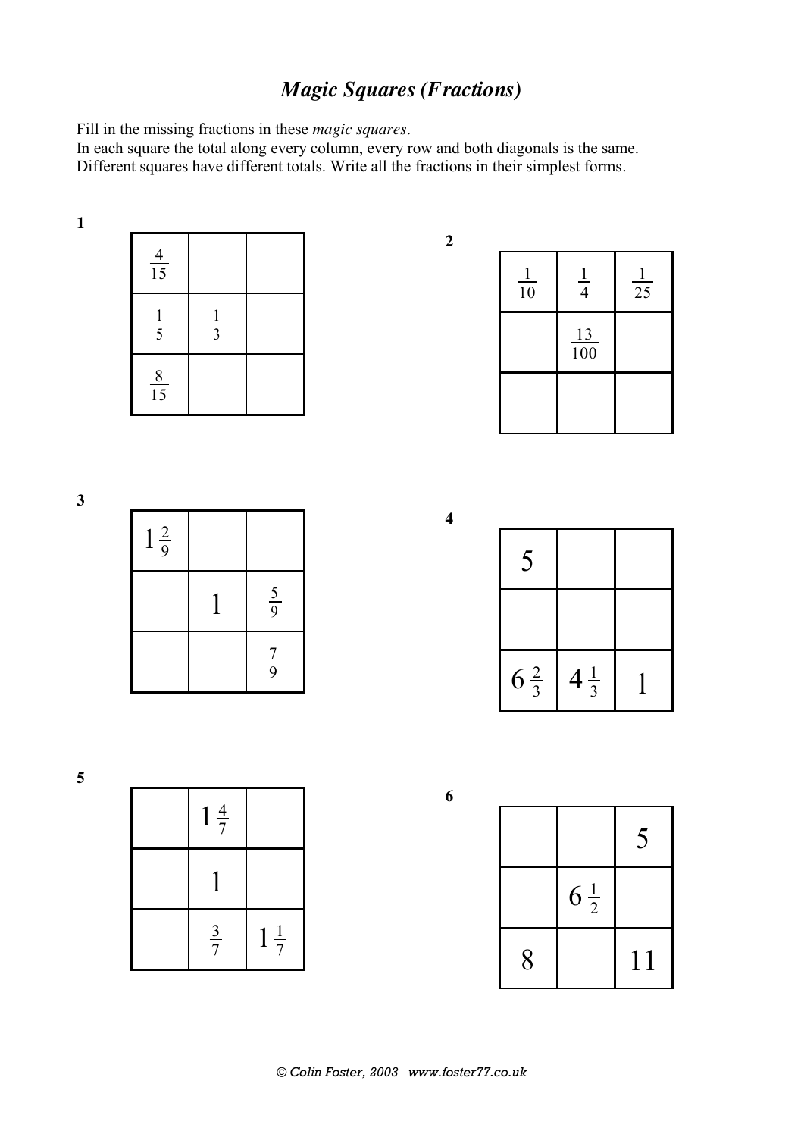# *Magic Squares (Fractions)*

Fill in the missing fractions in these *magic squares*.

In each square the total along every column, every row and both diagonals is the same. Different squares have different totals. Write all the fractions in their simplest forms.

| ٠<br>۰, |  |  |
|---------|--|--|
|         |  |  |
|         |  |  |
|         |  |  |

| $\frac{4}{15}$ |               |  |
|----------------|---------------|--|
| $rac{1}{5}$    | $\frac{1}{3}$ |  |
| $\frac{8}{15}$ |               |  |

| $\mathbf{I}$<br>$\overline{10}$ | $\frac{1}{4}$ | $\frac{1}{25}$ |
|---------------------------------|---------------|----------------|
|                                 | 13<br>100     |                |
|                                 |               |                |



| 5              |                |  |
|----------------|----------------|--|
|                |                |  |
| $6\frac{2}{3}$ | $4\frac{1}{3}$ |  |

| $1\frac{4}{7}$ |                         |
|----------------|-------------------------|
|                |                         |
| $rac{3}{7}$    | $rac{1}{7}$<br>$\bf{l}$ |

|   |                | 5  |
|---|----------------|----|
|   | $6\frac{1}{2}$ |    |
| 8 |                | 11 |